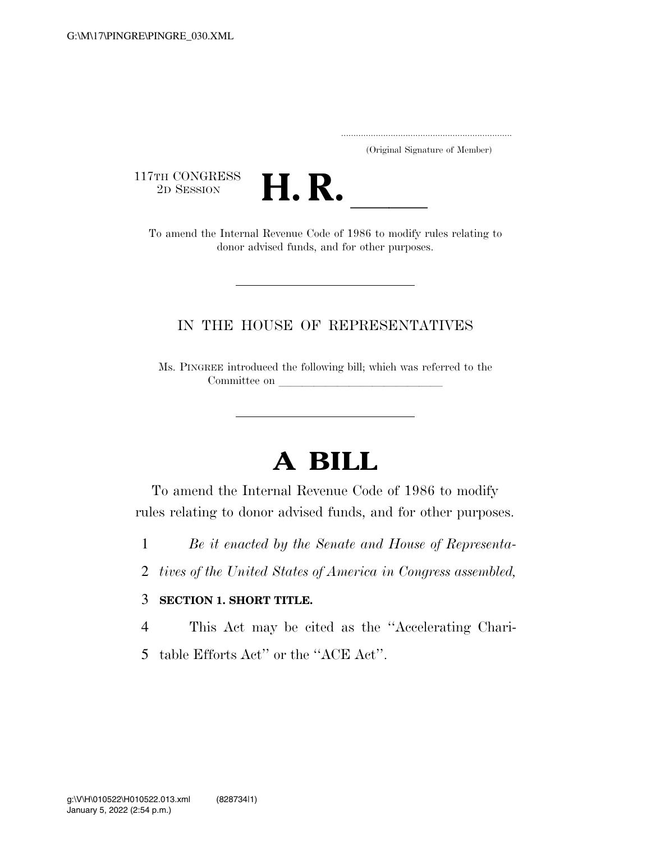..................................................................... (Original Signature of Member)

117TH CONGRESS<br>2D SESSION



TTH CONGRESS<br>
2D SESSION<br>
To amend the Internal Revenue Code of 1986 to modify rules relating to donor advised funds, and for other purposes.

#### IN THE HOUSE OF REPRESENTATIVES

Ms. PINGREE introduced the following bill; which was referred to the Committee on

# **A BILL**

To amend the Internal Revenue Code of 1986 to modify rules relating to donor advised funds, and for other purposes.

- 1 *Be it enacted by the Senate and House of Representa-*
- 2 *tives of the United States of America in Congress assembled,*

#### 3 **SECTION 1. SHORT TITLE.**

4 This Act may be cited as the ''Accelerating Chari-

5 table Efforts Act'' or the ''ACE Act''.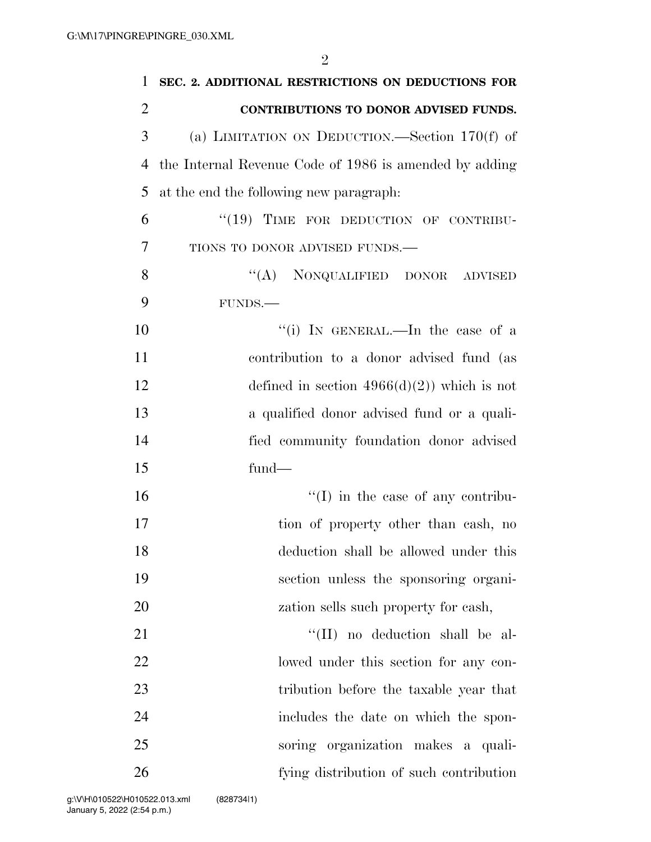| 1              | SEC. 2. ADDITIONAL RESTRICTIONS ON DEDUCTIONS FOR      |
|----------------|--------------------------------------------------------|
| $\overline{2}$ | CONTRIBUTIONS TO DONOR ADVISED FUNDS.                  |
| 3              | (a) LIMITATION ON DEDUCTION.—Section $170(f)$ of       |
| 4              | the Internal Revenue Code of 1986 is amended by adding |
| 5              | at the end the following new paragraph:                |
| 6              | "(19) TIME FOR DEDUCTION OF CONTRIBU-                  |
| 7              | TIONS TO DONOR ADVISED FUNDS.-                         |
| 8              | "(A) NONQUALIFIED DONOR<br><b>ADVISED</b>              |
| 9              | FUNDS.                                                 |
| 10             | "(i) IN GENERAL.—In the case of a                      |
| 11             | contribution to a donor advised fund (as               |
| 12             | defined in section $4966(d)(2)$ ) which is not         |
| 13             | a qualified donor advised fund or a quali-             |
| 14             | fied community foundation donor advised                |
| 15             | $fund$ —                                               |
| 16             | $\lq\lq$ (I) in the case of any contribu-              |
| 17             | tion of property other than eash, no                   |
| 18             | deduction shall be allowed under this                  |
| 19             | section unless the sponsoring organi-                  |
| 20             | zation sells such property for cash,                   |
| 21             | "(II) no deduction shall be al-                        |
| 22             | lowed under this section for any con-                  |
| 23             | tribution before the taxable year that                 |
| 24             | includes the date on which the spon-                   |
| 25             | soring organization makes a quali-                     |
| 26             | fying distribution of such contribution                |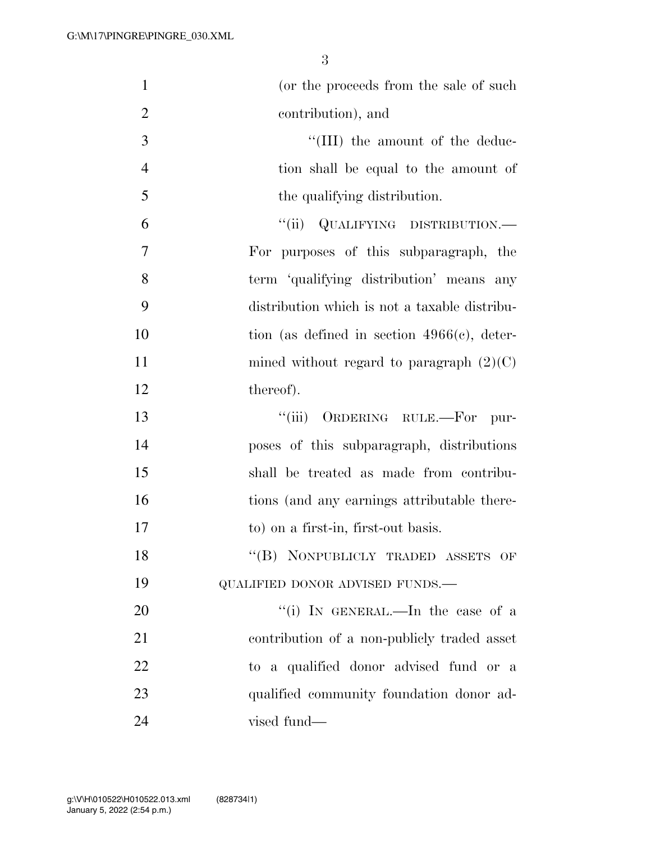| $\mathbf{1}$   | (or the proceeds from the sale of such         |
|----------------|------------------------------------------------|
| $\overline{2}$ | contribution), and                             |
| 3              | "(III) the amount of the deduc-                |
| $\overline{4}$ | tion shall be equal to the amount of           |
| 5              | the qualifying distribution.                   |
| 6              | QUALIFYING DISTRIBUTION.-<br>``(ii)            |
| 7              | For purposes of this subparagraph, the         |
| 8              | term 'qualifying distribution' means any       |
| 9              | distribution which is not a taxable distribu-  |
| 10             | tion (as defined in section $4966(c)$ , deter- |
| 11             | mined without regard to paragraph $(2)(C)$     |
| 12             | thereof).                                      |
| 13             | ORDERING RULE.-For<br>``(iii)<br>pur-          |
| 14             | poses of this subparagraph, distributions      |
| 15             | shall be treated as made from contribu-        |
| 16             | tions (and any earnings attributable there-    |
| 17             | to) on a first-in, first-out basis.            |
| 18             | "(B) NONPUBLICLY TRADED ASSETS OF              |
| 19             | QUALIFIED DONOR ADVISED FUNDS.-                |
| 20             | "(i) IN GENERAL.—In the case of a              |
| 21             | contribution of a non-publicly traded asset    |
| 22             | to a qualified donor advised fund or a         |
| 23             | qualified community foundation donor ad-       |
| 24             | vised fund—                                    |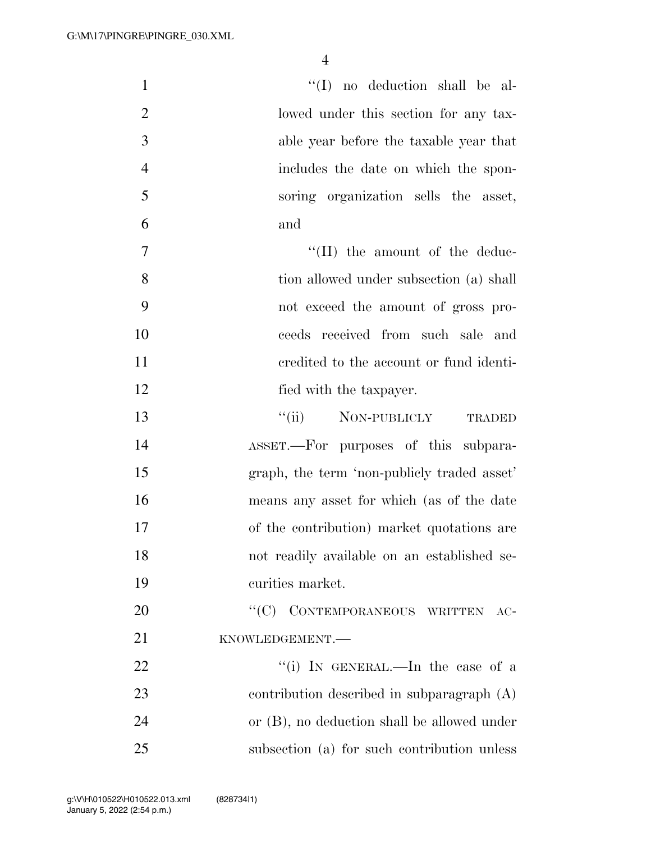| $\mathbf{1}$   | $\lq\lq$ (I) no deduction shall be al-      |
|----------------|---------------------------------------------|
| $\overline{2}$ | lowed under this section for any tax-       |
| 3              | able year before the taxable year that      |
| $\overline{4}$ | includes the date on which the spon-        |
| 5              | soring organization sells the asset,        |
| 6              | and                                         |
| $\tau$         | $``(II)$ the amount of the deduc-           |
| 8              | tion allowed under subsection (a) shall     |
| 9              | not exceed the amount of gross pro-         |
| 10             | ceeds received from such sale and           |
| 11             | eredited to the account or fund identi-     |
| 12             | fied with the taxpayer.                     |
| 13             | "(ii) NON-PUBLICLY TRADED                   |
| 14             | ASSET.—For purposes of this subpara-        |
| 15             | graph, the term 'non-publicly traded asset' |
| 16             | means any asset for which (as of the date   |
| 17             | of the contribution) market quotations are  |
| 18             | not readily available on an established se- |
| 19             | curities market.                            |
| 20             | "(C) CONTEMPORANEOUS WRITTEN AC-            |
| 21             | KNOWLEDGEMENT.-                             |
| 22             | "(i) IN GENERAL.—In the case of a           |
| 23             | contribution described in subparagraph (A)  |
| 24             | or (B), no deduction shall be allowed under |
| 25             | subsection (a) for such contribution unless |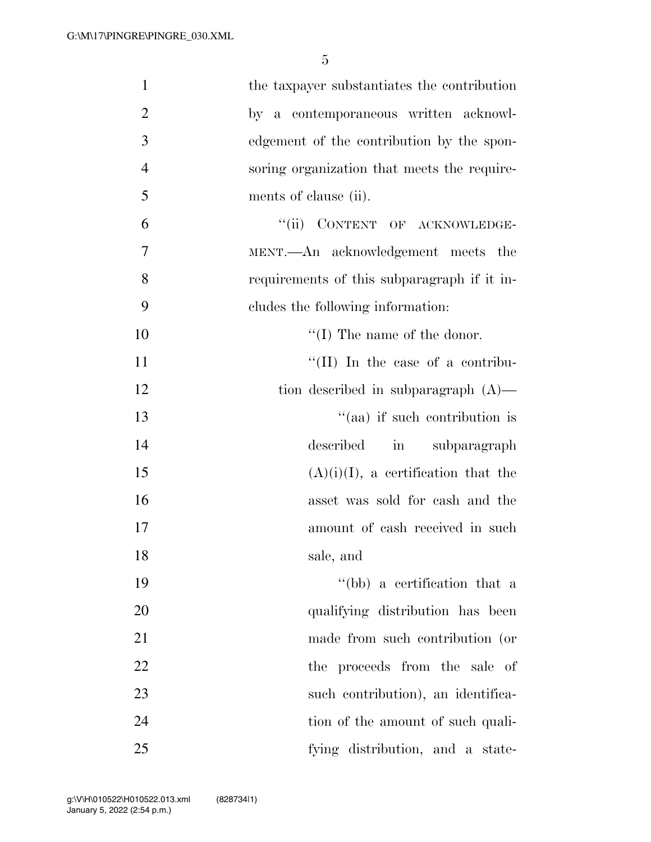| $\mathbf{1}$   | the taxpayer substantiates the contribution |
|----------------|---------------------------------------------|
| $\overline{2}$ | by a contemporaneous written acknowl-       |
| 3              | edgement of the contribution by the spon-   |
| $\overline{4}$ | soring organization that meets the require- |
| 5              | ments of clause (ii).                       |
| 6              | "(ii) CONTENT OF ACKNOWLEDGE-               |
| 7              | MENT.—An acknowledgement meets the          |
| 8              | requirements of this subparagraph if it in- |
| 9              | cludes the following information:           |
| 10             | $\lq\lq$ (I) The name of the donor.         |
| 11             | "(II) In the case of a contribu-            |
| 12             | tion described in subparagraph $(A)$ —      |
| 13             | "(aa) if such contribution is               |
| 14             | in subparagraph<br>described                |
| 15             | $(A)(i)(I)$ , a certification that the      |
| 16             | asset was sold for eash and the             |
| 17             | amount of cash received in such             |
| 18             | sale, and                                   |
| 19             | "(bb) a certification that a                |
| 20             | qualifying distribution has been            |
| 21             | made from such contribution (or             |
| 22             | the proceeds from the sale of               |
| 23             | such contribution), an identifica-          |
| 24             | tion of the amount of such quali-           |
| 25             | fying distribution, and a state-            |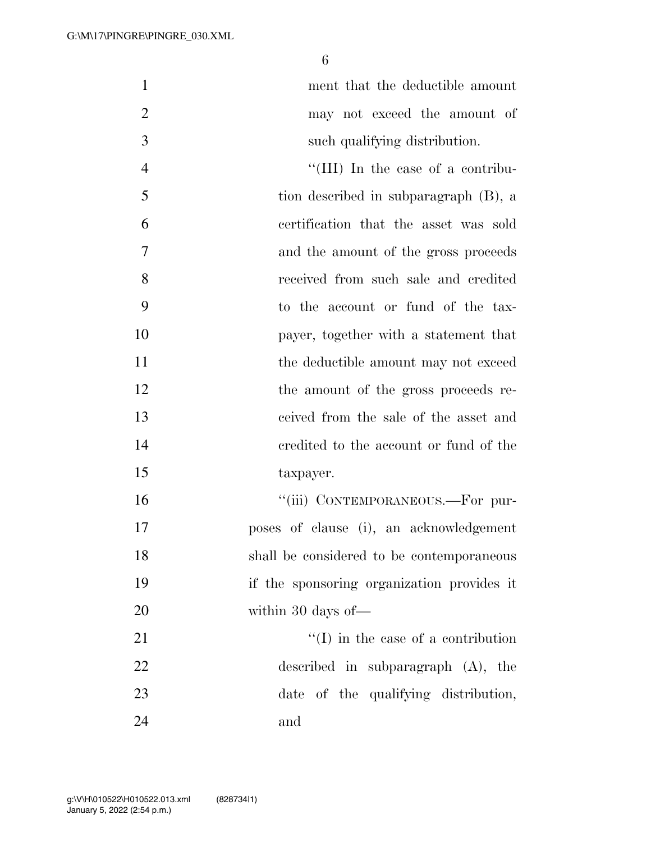| $\mathbf{1}$   | ment that the deductible amount            |
|----------------|--------------------------------------------|
| $\overline{2}$ | may not exceed the amount of               |
| 3              | such qualifying distribution.              |
| $\overline{4}$ | "(III) In the case of a contribu-          |
| 5              | tion described in subparagraph (B), a      |
| 6              | certification that the asset was sold      |
| $\overline{7}$ | and the amount of the gross proceeds       |
| 8              | received from such sale and credited       |
| 9              | to the account or fund of the tax-         |
| 10             | payer, together with a statement that      |
| 11             | the deductible amount may not exceed       |
| 12             | the amount of the gross proceeds re-       |
| 13             | ceived from the sale of the asset and      |
| 14             | eredited to the account or fund of the     |
| 15             | taxpayer.                                  |
| 16             | "(iii) CONTEMPORANEOUS.—For pur-           |
| 17             | poses of clause (i), an acknowledgement    |
| 18             | shall be considered to be contemporaneous  |
| 19             | if the sponsoring organization provides it |
| 20             | within 30 days of—                         |
| 21             | $\lq\lq$ (I) in the case of a contribution |
| 22             | described in subparagraph $(A)$ , the      |
| 23             | date of the qualifying distribution,       |
| 24             | and                                        |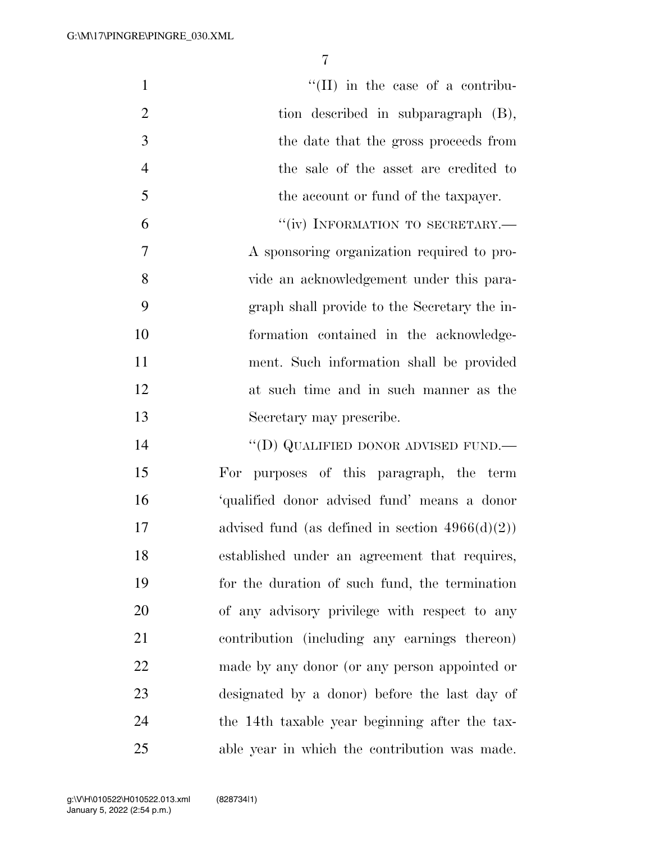| $\mathbf{1}$   | $\lq\lq$ (II) in the case of a contribu-           |
|----------------|----------------------------------------------------|
| $\overline{2}$ | tion described in subparagraph (B),                |
| 3              | the date that the gross proceeds from              |
| $\overline{4}$ | the sale of the asset are credited to              |
| 5              | the account or fund of the taxpayer.               |
| 6              | "(iv) INFORMATION TO SECRETARY.-                   |
| $\overline{7}$ | A sponsoring organization required to pro-         |
| 8              | vide an acknowledgement under this para-           |
| 9              | graph shall provide to the Secretary the in-       |
| 10             | formation contained in the acknowledge-            |
| 11             | ment. Such information shall be provided           |
| 12             | at such time and in such manner as the             |
| 13             | Secretary may prescribe.                           |
| 14             | "(D) QUALIFIED DONOR ADVISED FUND.—                |
| 15             | For purposes of this paragraph, the term           |
| 16             | 'qualified donor advised fund' means a donor       |
| 17             | advised fund (as defined in section $4966(d)(2)$ ) |
| 18             | established under an agreement that requires,      |
| 19             | for the duration of such fund, the termination     |
| 20             | of any advisory privilege with respect to any      |
| 21             | contribution (including any earnings thereon)      |
| 22             | made by any donor (or any person appointed or      |
| 23             | designated by a donor) before the last day of      |
| 24             | the 14th taxable year beginning after the tax-     |
| 25             | able year in which the contribution was made.      |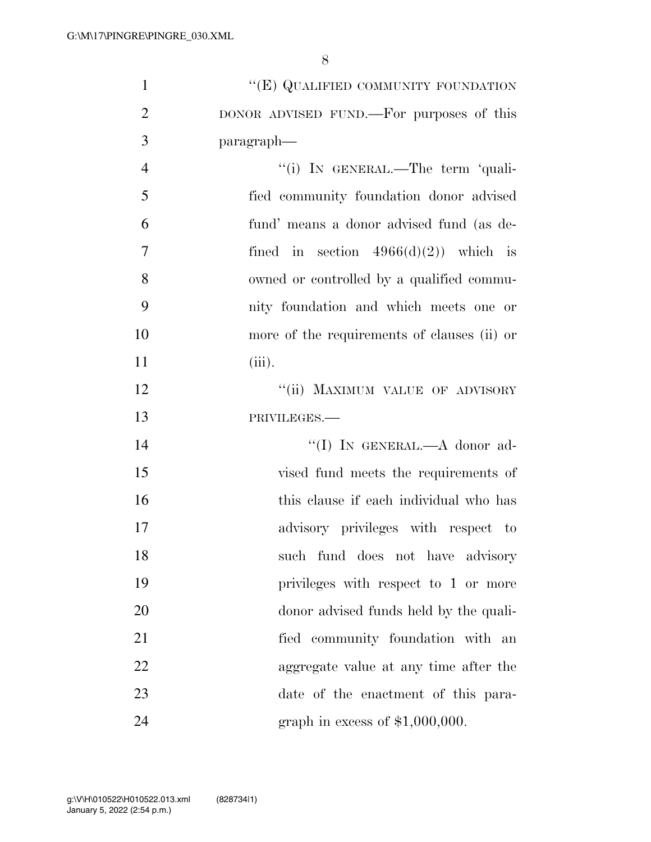| $\mathbf{1}$   | "(E) QUALIFIED COMMUNITY FOUNDATION         |
|----------------|---------------------------------------------|
| $\overline{2}$ | DONOR ADVISED FUND.—For purposes of this    |
| 3              | paragraph—                                  |
| $\overline{4}$ | "(i) IN GENERAL.—The term 'quali-           |
| 5              | fied community foundation donor advised     |
| 6              | fund' means a donor advised fund (as de-    |
| 7              | fined in section $4966(d)(2)$ which is      |
| 8              | owned or controlled by a qualified commu-   |
| 9              | nity foundation and which meets one or      |
| 10             | more of the requirements of clauses (ii) or |
| 11             | (iii).                                      |
| 12             | "(ii) MAXIMUM VALUE OF ADVISORY             |
| 13             | PRIVILEGES.-                                |
| 14             | "(I) IN GENERAL.—A donor ad-                |
| 15             | vised fund meets the requirements of        |
| 16             | this clause if each individual who has      |
| 17             | advisory privileges with respect to         |
| 18             | such fund does not have advisory            |
| 19             | privileges with respect to 1 or more        |
| 20             | donor advised funds held by the quali-      |
| 21             | fied community foundation with an           |
| 22             | aggregate value at any time after the       |
| 23             | date of the enactment of this para-         |
| 24             | graph in excess of $$1,000,000$ .           |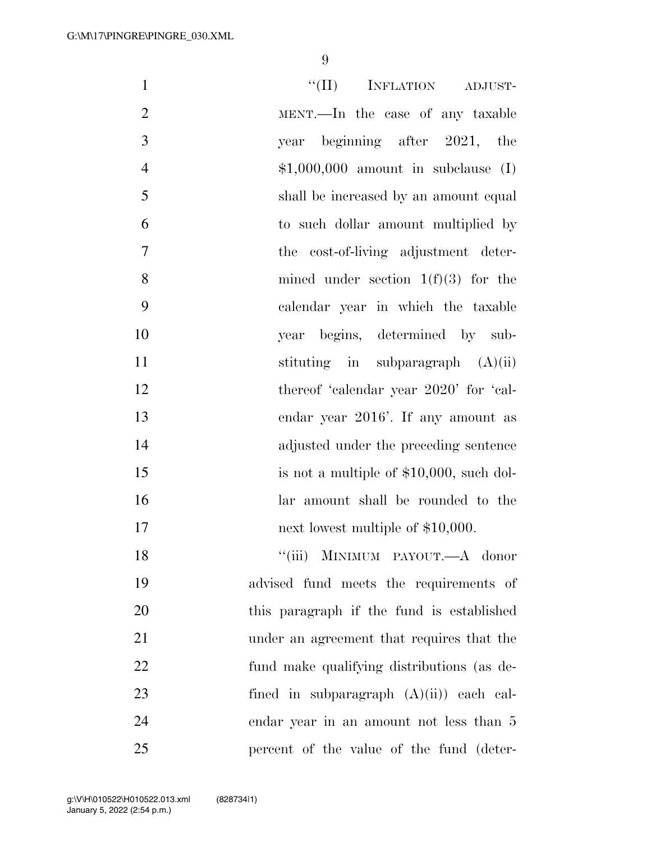| $\mathbf{1}$   | $``(II)$ INFLATION<br>ADJUST-              |
|----------------|--------------------------------------------|
| $\overline{2}$ | MENT.—In the case of any taxable           |
| 3              | year beginning after 2021, the             |
| $\overline{4}$ | $$1,000,000$ amount in subclause (I)       |
| 5              | shall be increased by an amount equal      |
| 6              | to such dollar amount multiplied by        |
| 7              | the cost-of-living adjustment deter-       |
| 8              | mined under section $1(f)(3)$ for the      |
| 9              | calendar year in which the taxable         |
| 10             | year begins, determined by sub-            |
| 11             | stituting in subparagraph $(A)(ii)$        |
| 12             | thereof 'calendar year 2020' for 'cal-     |
| 13             | endar year 2016'. If any amount as         |
| 14             | adjusted under the preceding sentence      |
| 15             | is not a multiple of $$10,000$ , such dol- |
| 16             | lar amount shall be rounded to the         |
| 17             | next lowest multiple of \$10,000.          |
| 18             | "(iii) MINIMUM PAYOUT.—A donor             |
| 19             | advised fund meets the requirements of     |
| 20             | this paragraph if the fund is established  |
| 21             | under an agreement that requires that the  |
| 22             | fund make qualifying distributions (as de- |
| 23             | fined in subparagraph $(A)(ii)$ each cal-  |
| 24             | endar year in an amount not less than 5    |
| 25             | percent of the value of the fund (deter-   |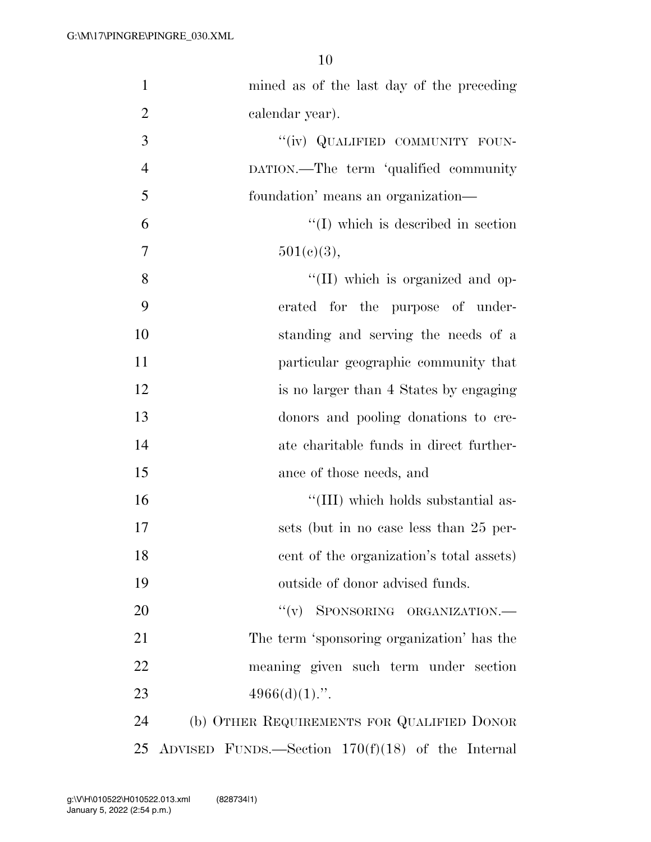| $\mathbf{1}$   | mined as of the last day of the preceding           |
|----------------|-----------------------------------------------------|
| $\overline{2}$ | calendar year).                                     |
| 3              | "(iv) QUALIFIED COMMUNITY FOUN-                     |
| $\overline{4}$ | DATION.—The term 'qualified community               |
| 5              | foundation' means an organization-                  |
| 6              | $\lq (I)$ which is described in section             |
| $\tau$         | 501(c)(3),                                          |
| 8              | "(II) which is organized and op-                    |
| 9              | erated for the purpose of under-                    |
| 10             | standing and serving the needs of a                 |
| 11             | particular geographic community that                |
| 12             | is no larger than 4 States by engaging              |
| 13             | donors and pooling donations to cre-                |
| 14             | ate charitable funds in direct further-             |
| 15             | ance of those needs, and                            |
| 16             | "(III) which holds substantial as-                  |
| 17             | sets (but in no case less than 25 per-              |
| 18             | cent of the organization's total assets)            |
| 19             | outside of donor advised funds.                     |
| 20             | "(v) SPONSORING ORGANIZATION.-                      |
| 21             | The term 'sponsoring organization' has the          |
| 22             | meaning given such term under section               |
| 23             | $4966(d)(1)$ .".                                    |
| 24             | (b) OTHER REQUIREMENTS FOR QUALIFIED DONOR          |
| 25             | ADVISED FUNDS.—Section $170(f)(18)$ of the Internal |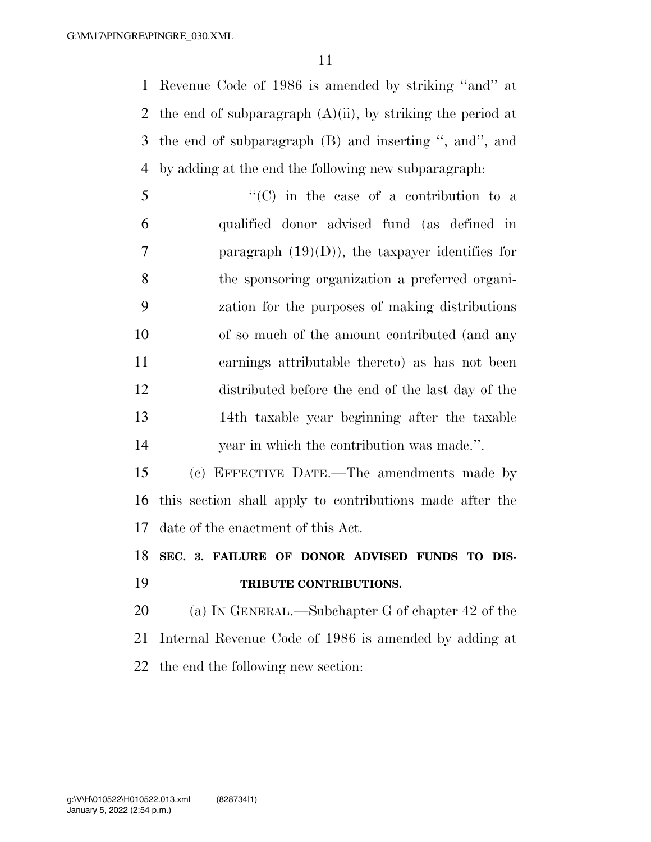Revenue Code of 1986 is amended by striking ''and'' at 2 the end of subparagraph  $(A)(ii)$ , by striking the period at the end of subparagraph (B) and inserting '', and'', and by adding at the end the following new subparagraph:

 ''(C) in the case of a contribution to a qualified donor advised fund (as defined in 7 paragraph  $(19)(D)$ , the taxpayer identifies for the sponsoring organization a preferred organi- zation for the purposes of making distributions of so much of the amount contributed (and any earnings attributable thereto) as has not been distributed before the end of the last day of the 14th taxable year beginning after the taxable year in which the contribution was made.''.

 (c) EFFECTIVE DATE.—The amendments made by this section shall apply to contributions made after the date of the enactment of this Act.

## **SEC. 3. FAILURE OF DONOR ADVISED FUNDS TO DIS-TRIBUTE CONTRIBUTIONS.**

 (a) IN GENERAL.—Subchapter G of chapter 42 of the Internal Revenue Code of 1986 is amended by adding at the end the following new section: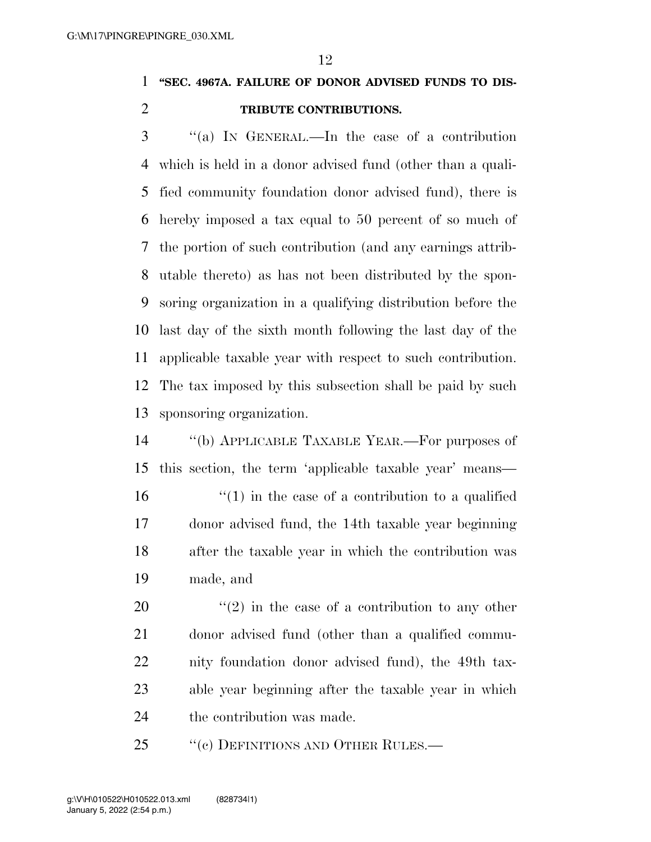### **''SEC. 4967A. FAILURE OF DONOR ADVISED FUNDS TO DIS-TRIBUTE CONTRIBUTIONS.**

 ''(a) IN GENERAL.—In the case of a contribution which is held in a donor advised fund (other than a quali- fied community foundation donor advised fund), there is hereby imposed a tax equal to 50 percent of so much of the portion of such contribution (and any earnings attrib- utable thereto) as has not been distributed by the spon- soring organization in a qualifying distribution before the last day of the sixth month following the last day of the applicable taxable year with respect to such contribution. The tax imposed by this subsection shall be paid by such sponsoring organization.

 ''(b) APPLICABLE TAXABLE YEAR.—For purposes of this section, the term 'applicable taxable year' means—  $\mathcal{L}(1)$  in the case of a contribution to a qualified donor advised fund, the 14th taxable year beginning after the taxable year in which the contribution was made, and

 ''(2) in the case of a contribution to any other donor advised fund (other than a qualified commu- nity foundation donor advised fund), the 49th tax- able year beginning after the taxable year in which the contribution was made.

25 "(c) DEFINITIONS AND OTHER RULES.—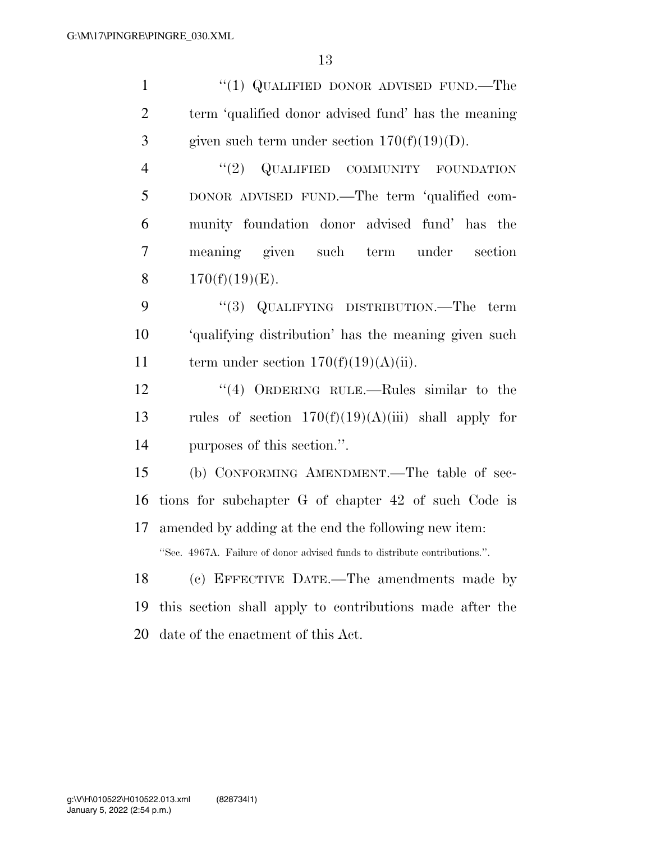| "(1) QUALIFIED DONOR ADVISED FUND.—The                                     |
|----------------------------------------------------------------------------|
| term 'qualified donor advised fund' has the meaning                        |
| given such term under section $170(f)(19)(D)$ .                            |
| (2)<br>QUALIFIED COMMUNITY FOUNDATION                                      |
| DONOR ADVISED FUND.—The term 'qualified com-                               |
| munity foundation donor advised fund' has the                              |
| meaning given such term under<br>section                                   |
| $170(f)(19)(E)$ .                                                          |
| "(3) QUALIFYING DISTRIBUTION.—The<br>term                                  |
| 'qualifying distribution' has the meaning given such                       |
| term under section $170(f)(19)(A)(ii)$ .                                   |
| "(4) ORDERING RULE.—Rules similar to the                                   |
| rules of section $170(f)(19)(A)(iii)$ shall apply for                      |
| purposes of this section.".                                                |
| (b) CONFORMING AMENDMENT.—The table of sec-                                |
| tions for subchapter G of chapter 42 of such Code is                       |
| amended by adding at the end the following new item.                       |
| "Sec. 4967A. Failure of donor advised funds to distribute contributions.". |
| (c) EFFECTIVE DATE.—The amendments made by                                 |
| this section shall apply to contributions made after the                   |
|                                                                            |

20 date of the enactment of this Act.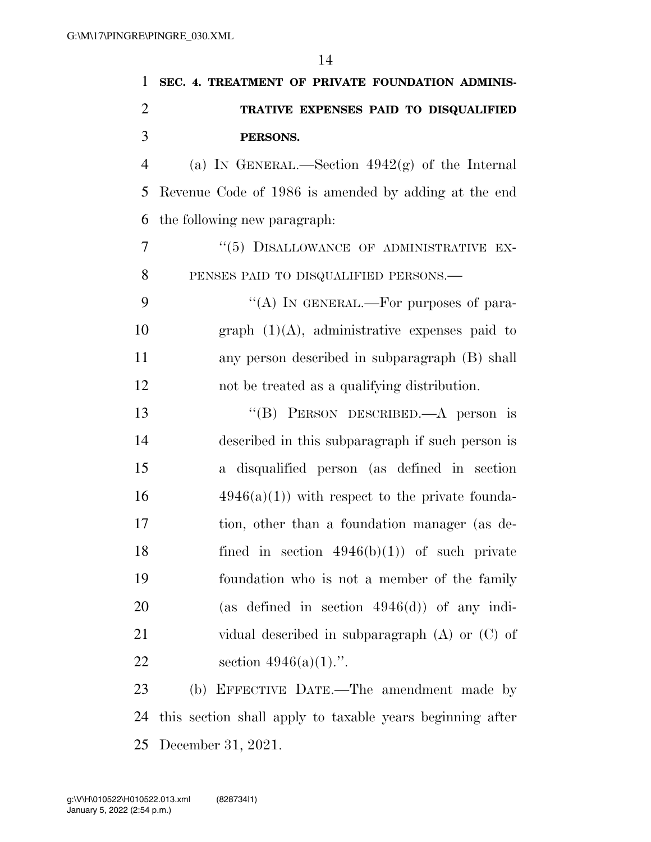| $\mathbf{1}$   | SEC. 4. TREATMENT OF PRIVATE FOUNDATION ADMINIS-          |
|----------------|-----------------------------------------------------------|
| $\overline{2}$ | TRATIVE EXPENSES PAID TO DISQUALIFIED                     |
| 3              | PERSONS.                                                  |
| $\overline{4}$ | (a) IN GENERAL.—Section $4942(g)$ of the Internal         |
| 5              | Revenue Code of 1986 is amended by adding at the end      |
| 6              | the following new paragraph:                              |
| 7              | "(5) DISALLOWANCE OF ADMINISTRATIVE EX-                   |
| 8              | PENSES PAID TO DISQUALIFIED PERSONS.-                     |
| 9              | "(A) IN GENERAL.—For purposes of para-                    |
| 10             | $graph (1)(A)$ , administrative expenses paid to          |
| 11             | any person described in subparagraph (B) shall            |
| 12             | not be treated as a qualifying distribution.              |
| 13             | "(B) PERSON DESCRIBED.—A person is                        |
| 14             | described in this subparagraph if such person is          |
| 15             | a disqualified person (as defined in section              |
| 16             | $4946(a)(1)$ with respect to the private founda-          |
| 17             | tion, other than a foundation manager (as de-             |
| 18             | fined in section $4946(b)(1)$ of such private             |
| 19             | foundation who is not a member of the family              |
| 20             | (as defined in section $4946(d)$ ) of any indi-           |
| 21             | vidual described in subparagraph $(A)$ or $(C)$ of        |
| 22             | section $4946(a)(1)$ .".                                  |
| 23             | (b) EFFECTIVE DATE.—The amendment made by                 |
| 24             | this section shall apply to taxable years beginning after |
|                |                                                           |

December 31, 2021.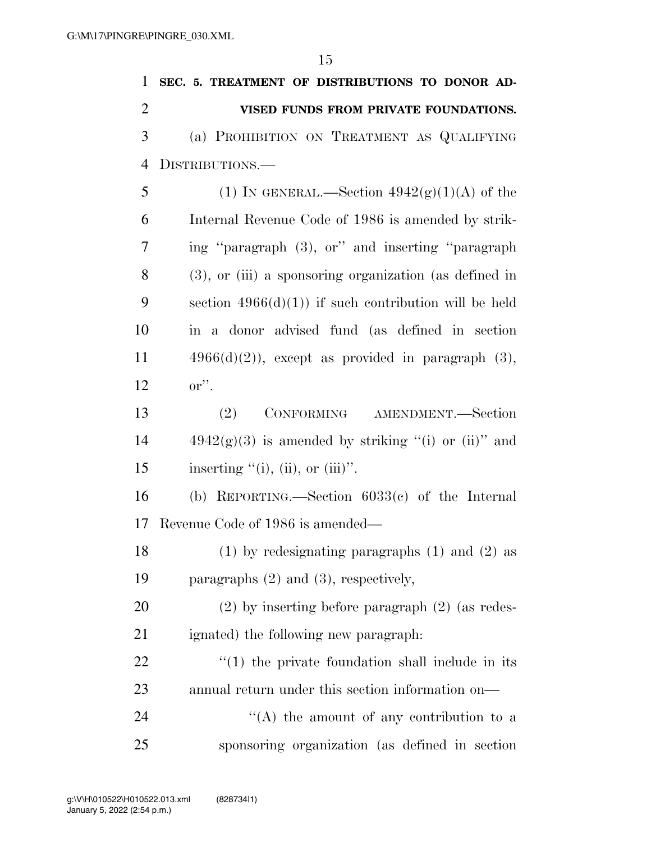| $\mathbf{1}$   | SEC. 5. TREATMENT OF DISTRIBUTIONS TO DONOR AD-             |
|----------------|-------------------------------------------------------------|
| $\overline{2}$ | VISED FUNDS FROM PRIVATE FOUNDATIONS.                       |
| 3              | (a) PROHIBITION ON TREATMENT AS QUALIFYING                  |
| 4              | DISTRIBUTIONS.—                                             |
| 5              | (1) IN GENERAL.—Section $4942(g)(1)(A)$ of the              |
| 6              | Internal Revenue Code of 1986 is amended by strik-          |
| 7              | ing "paragraph (3), or" and inserting "paragraph            |
| 8              | $(3)$ , or $(iii)$ a sponsoring organization (as defined in |
| 9              | section $4966(d)(1)$ if such contribution will be held      |
| 10             | in a donor advised fund (as defined in section              |
| 11             | $4966(d)(2)$ , except as provided in paragraph $(3)$ ,      |
| 12             | $\mathbf{or}''$ .                                           |
| 13             | CONFORMING AMENDMENT.-Section<br>(2)                        |
| 14             | $4942(g)(3)$ is amended by striking "(i) or (ii)" and       |
| 15             | inserting $\lq\lq(i)$ , (ii), or (iii)".                    |
| 16             | (b) REPORTING.—Section $6033(c)$ of the Internal            |
| 17             | Revenue Code of 1986 is amended—                            |
| 18             | $(1)$ by redesignating paragraphs $(1)$ and $(2)$ as        |
| 19             | paragraphs $(2)$ and $(3)$ , respectively,                  |
| 20             | $(2)$ by inserting before paragraph $(2)$ (as redes-        |
| 21             | ignated) the following new paragraph.                       |
| 22             | $"(1)$ the private foundation shall include in its          |
| 23             | annual return under this section information on—            |
| 24             | $\lq\lq$ the amount of any contribution to a                |
| 25             | sponsoring organization (as defined in section              |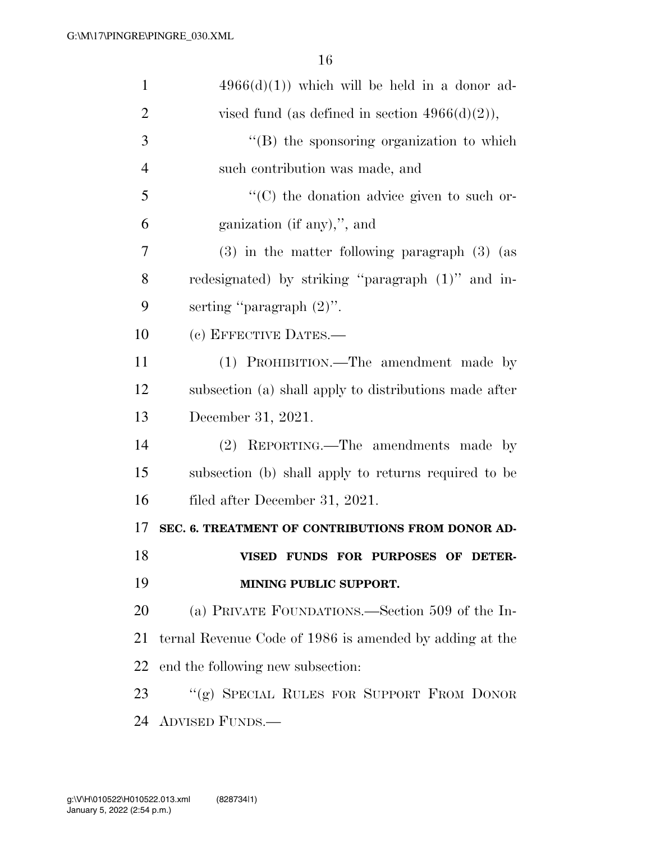| $\mathbf{1}$   | $4966(d)(1)$ which will be held in a donor ad-          |
|----------------|---------------------------------------------------------|
| $\overline{2}$ | vised fund (as defined in section $4966(d)(2)$ ),       |
| 3              | "(B) the sponsoring organization to which               |
| $\overline{4}$ | such contribution was made, and                         |
| 5              | $\lq\lq$ (C) the donation advice given to such or-      |
| 6              | ganization (if any),", and                              |
| 7              | $(3)$ in the matter following paragraph $(3)$ (as       |
| 8              | redesignated) by striking "paragraph (1)" and in-       |
| 9              | serting "paragraph $(2)$ ".                             |
| 10             | (c) EFFECTIVE DATES.—                                   |
| 11             | (1) PROHIBITION.—The amendment made by                  |
| 12             | subsection (a) shall apply to distributions made after  |
| 13             | December 31, 2021.                                      |
| 14             | (2) REPORTING.—The amendments made by                   |
| 15             | subsection (b) shall apply to returns required to be    |
| 16             | filed after December 31, 2021.                          |
| 17             | SEC. 6. TREATMENT OF CONTRIBUTIONS FROM DONOR AD-       |
| 18             | VISED FUNDS FOR PURPOSES OF DETER-                      |
| 19             | MINING PUBLIC SUPPORT.                                  |
| 20             | (a) PRIVATE FOUNDATIONS.—Section 509 of the In-         |
| 21             | ternal Revenue Code of 1986 is amended by adding at the |
| 22             | end the following new subsection:                       |
| 23             | "(g) SPECIAL RULES FOR SUPPORT FROM DONOR               |
| 24             | <b>ADVISED FUNDS.—</b>                                  |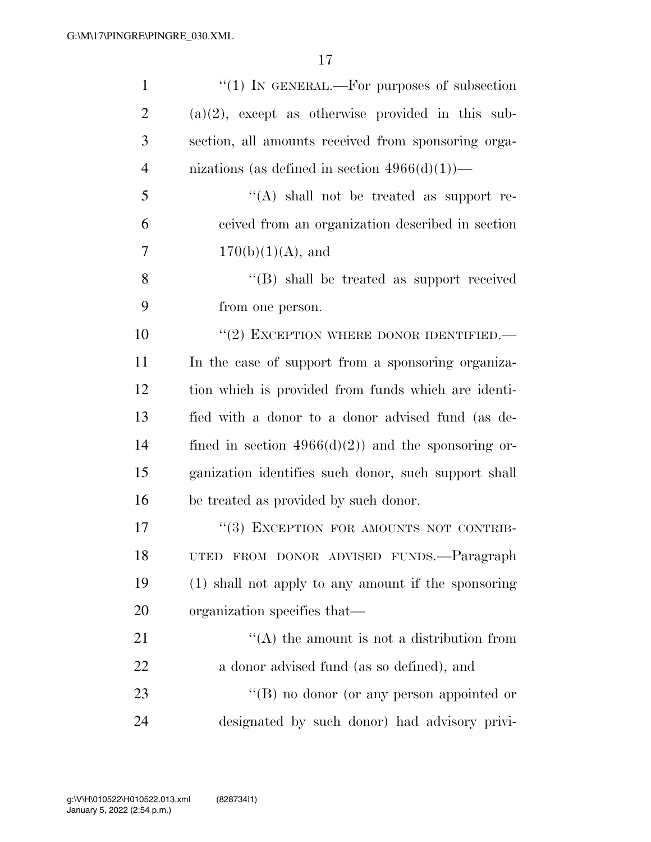| $\mathbf{1}$   | "(1) IN GENERAL.—For purposes of subsection          |
|----------------|------------------------------------------------------|
| $\overline{2}$ | $(a)(2)$ , except as otherwise provided in this sub- |
| 3              | section, all amounts received from sponsoring orga-  |
| $\overline{4}$ | nizations (as defined in section $4966(d)(1)$ )—     |
| 5              | "(A) shall not be treated as support re-             |
| 6              | ceived from an organization described in section     |
| 7              | $170(b)(1)(A)$ , and                                 |
| 8              | "(B) shall be treated as support received            |
| 9              | from one person.                                     |
| 10             | $``(2)$ EXCEPTION WHERE DONOR IDENTIFIED.—           |
| 11             | In the case of support from a sponsoring organiza-   |
| 12             | tion which is provided from funds which are identi-  |
| 13             | fied with a donor to a donor advised fund (as de-    |
| 14             | fined in section $4966(d)(2)$ and the sponsoring or- |
| 15             | ganization identifies such donor, such support shall |
| 16             | be treated as provided by such donor.                |
| 17             | "(3) EXCEPTION FOR AMOUNTS NOT CONTRIB-              |
| 18             | UTED FROM DONOR ADVISED FUNDS. - Paragraph           |
| 19             | (1) shall not apply to any amount if the sponsoring  |
| 20             | organization specifies that—                         |
| 21             | $\lq\lq$ the amount is not a distribution from       |
| 22             | a donor advised fund (as so defined), and            |
| 23             | "(B) no donor (or any person appointed or            |
| 24             | designated by such donor) had advisory privi-        |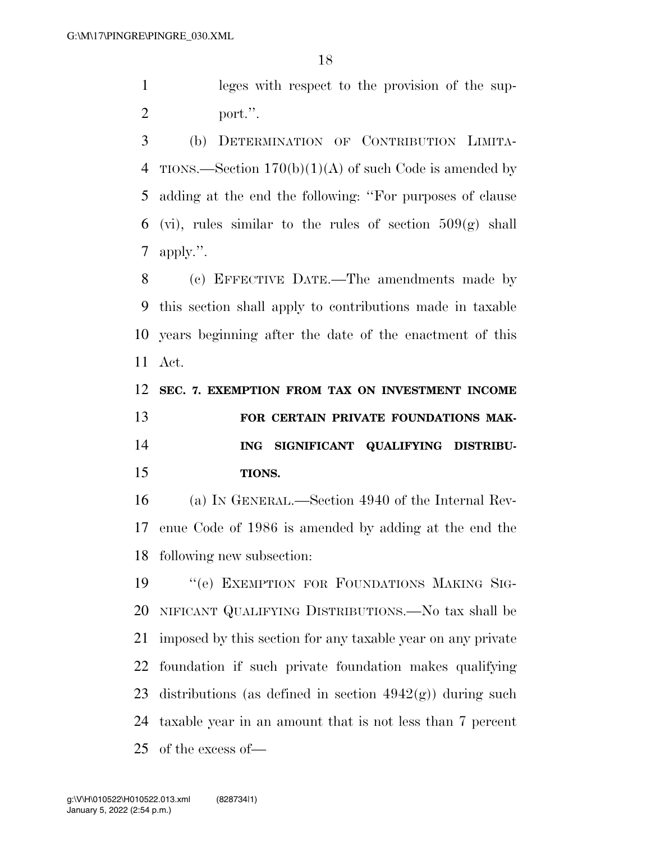leges with respect to the provision of the sup-port.''.

 (b) DETERMINATION OF CONTRIBUTION LIMITA-4 TIONS.—Section  $170(b)(1)(A)$  of such Code is amended by adding at the end the following: ''For purposes of clause 6 (vi), rules similar to the rules of section  $509(g)$  shall apply.''.

 (c) EFFECTIVE DATE.—The amendments made by this section shall apply to contributions made in taxable years beginning after the date of the enactment of this Act.

 **SEC. 7. EXEMPTION FROM TAX ON INVESTMENT INCOME FOR CERTAIN PRIVATE FOUNDATIONS MAK- ING SIGNIFICANT QUALIFYING DISTRIBU-TIONS.** 

 (a) IN GENERAL.—Section 4940 of the Internal Rev- enue Code of 1986 is amended by adding at the end the following new subsection:

19 "'(e) EXEMPTION FOR FOUNDATIONS MAKING SIG- NIFICANT QUALIFYING DISTRIBUTIONS.—No tax shall be imposed by this section for any taxable year on any private foundation if such private foundation makes qualifying 23 distributions (as defined in section  $4942(g)$ ) during such taxable year in an amount that is not less than 7 percent of the excess of—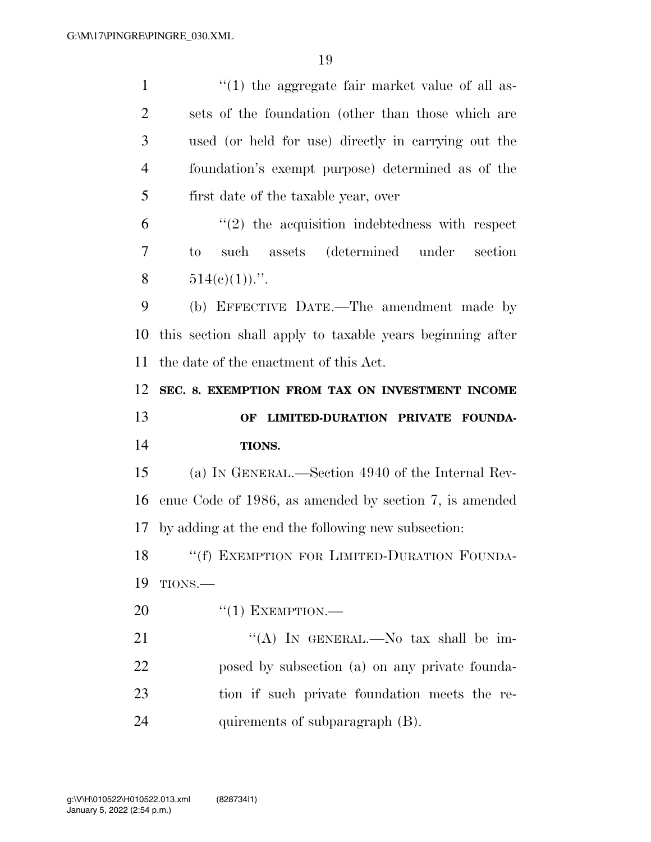1 ''(1) the aggregate fair market value of all as- sets of the foundation (other than those which are used (or held for use) directly in carrying out the foundation's exempt purpose) determined as of the first date of the taxable year, over  $(2)$  the acquisition indebtedness with respect to such assets (determined under section  $514(e)(1)$ .". (b) EFFECTIVE DATE.—The amendment made by this section shall apply to taxable years beginning after the date of the enactment of this Act. **SEC. 8. EXEMPTION FROM TAX ON INVESTMENT INCOME OF LIMITED-DURATION PRIVATE FOUNDA- TIONS.**  (a) IN GENERAL.—Section 4940 of the Internal Rev- enue Code of 1986, as amended by section 7, is amended by adding at the end the following new subsection: 18 "(f) EXEMPTION FOR LIMITED-DURATION FOUNDA- TIONS.— 20 "(1) EXEMPTION.— 21 ""(A) In GENERAL.—No tax shall be im- posed by subsection (a) on any private founda- tion if such private foundation meets the re-24 quirements of subparagraph (B).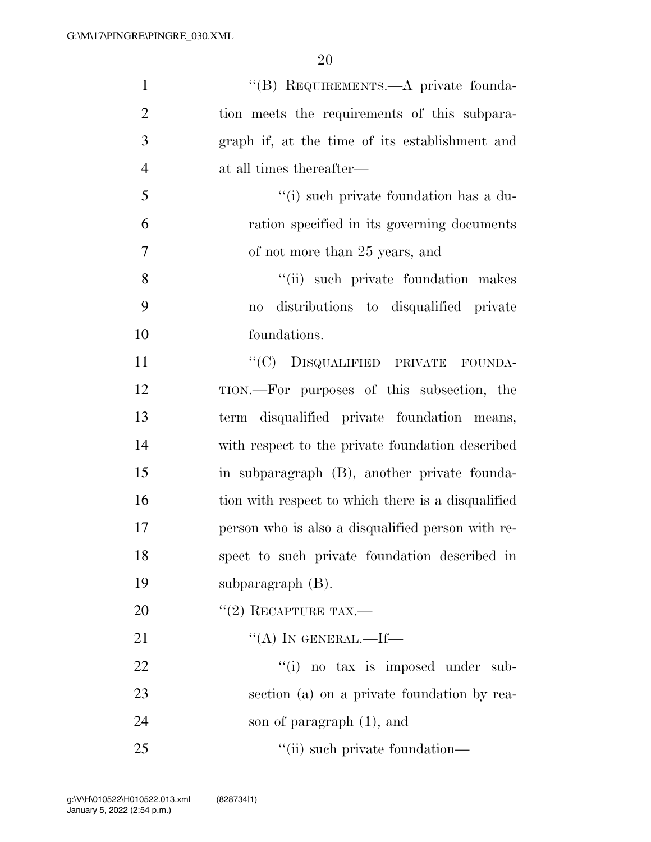| $\mathbf{1}$   | "(B) REQUIREMENTS.—A private founda-                            |
|----------------|-----------------------------------------------------------------|
| $\overline{2}$ | tion meets the requirements of this subpara-                    |
| 3              | graph if, at the time of its establishment and                  |
| $\overline{4}$ | at all times thereafter—                                        |
| 5              | "(i) such private foundation has a du-                          |
| 6              | ration specified in its governing documents                     |
| 7              | of not more than 25 years, and                                  |
| 8              | "(ii) such private foundation makes                             |
| 9              | distributions to disqualified private<br>$\mathbf{n}\mathbf{o}$ |
| 10             | foundations.                                                    |
| 11             | "(C) DISQUALIFIED PRIVATE FOUNDA-                               |
| 12             | TION.—For purposes of this subsection, the                      |
| 13             | term disqualified private foundation means,                     |
| 14             | with respect to the private foundation described                |
| 15             | in subparagraph (B), another private founda-                    |
| 16             | tion with respect to which there is a disqualified              |
| 17             | person who is also a disqualified person with re-               |
| 18             | spect to such private foundation described in                   |
| 19             | subparagraph $(B)$ .                                            |
| 20             | $``(2)$ RECAPTURE TAX.—                                         |
| 21             | "(A) IN GENERAL.—If—                                            |
| 22             | "(i) no tax is imposed under sub-                               |
| 23             | section (a) on a private foundation by rea-                     |
| 24             | son of paragraph (1), and                                       |
| 25             | "(ii) such private foundation—                                  |